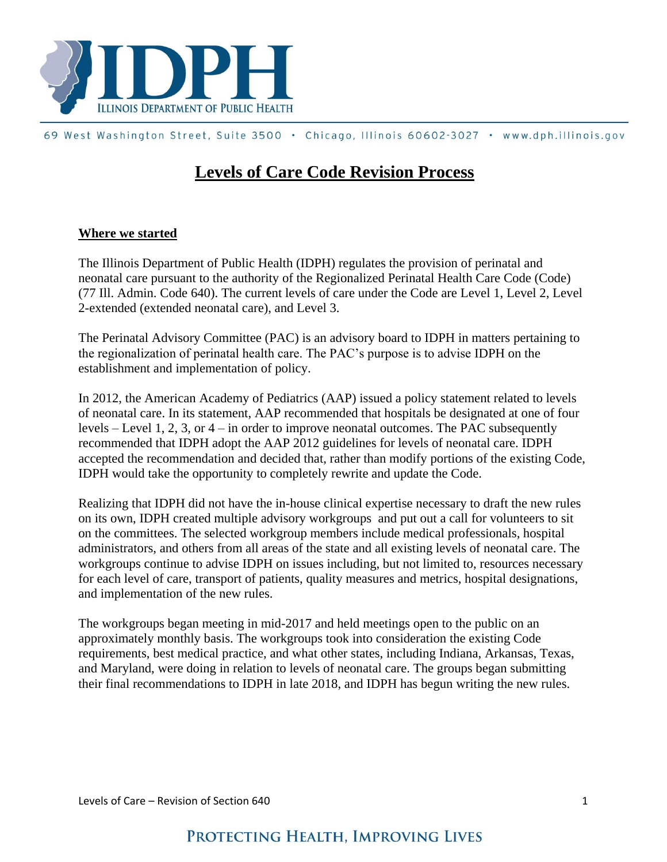

## 69 West Washington Street, Suite 3500 . Chicago, Illinois 60602-3027 . www.dph.illinois.gov

## **Levels of Care Code Revision Process**

## **Where we started**

The Illinois Department of Public Health (IDPH) regulates the provision of perinatal and neonatal care pursuant to the authority of the Regionalized Perinatal Health Care Code (Code) (77 Ill. Admin. Code 640). The current levels of care under the Code are Level 1, Level 2, Level 2-extended (extended neonatal care), and Level 3.

The Perinatal Advisory Committee (PAC) is an advisory board to IDPH in matters pertaining to the regionalization of perinatal health care. The PAC's purpose is to advise IDPH on the establishment and implementation of policy.

In 2012, the American Academy of Pediatrics (AAP) issued a policy statement related to levels of neonatal care. In its statement, AAP recommended that hospitals be designated at one of four levels – Level 1, 2, 3, or  $4$  – in order to improve neonatal outcomes. The PAC subsequently recommended that IDPH adopt the AAP 2012 guidelines for levels of neonatal care. IDPH accepted the recommendation and decided that, rather than modify portions of the existing Code, IDPH would take the opportunity to completely rewrite and update the Code.

Realizing that IDPH did not have the in-house clinical expertise necessary to draft the new rules on its own, IDPH created multiple advisory workgroups and put out a call for volunteers to sit on the committees. The selected workgroup members include medical professionals, hospital administrators, and others from all areas of the state and all existing levels of neonatal care. The workgroups continue to advise IDPH on issues including, but not limited to, resources necessary for each level of care, transport of patients, quality measures and metrics, hospital designations, and implementation of the new rules.

The workgroups began meeting in mid-2017 and held meetings open to the public on an approximately monthly basis. The workgroups took into consideration the existing Code requirements, best medical practice, and what other states, including Indiana, Arkansas, Texas, and Maryland, were doing in relation to levels of neonatal care. The groups began submitting their final recommendations to IDPH in late 2018, and IDPH has begun writing the new rules.